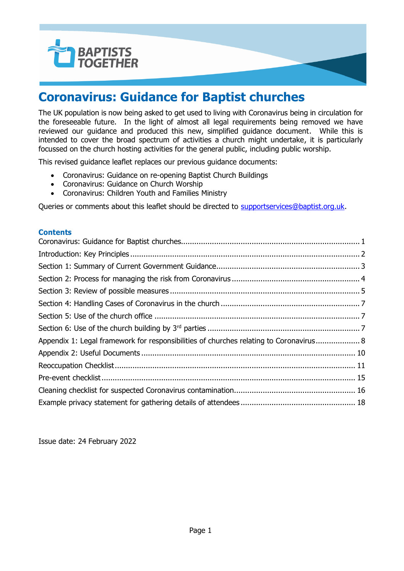

### <span id="page-0-0"></span>**Coronavirus: Guidance for Baptist churches**

The UK population is now being asked to get used to living with Coronavirus being in circulation for the foreseeable future. In the light of almost all legal requirements being removed we have reviewed our guidance and produced this new, simplified guidance document. While this is intended to cover the broad spectrum of activities a church might undertake, it is particularly focussed on the church hosting activities for the general public, including public worship.

This revised guidance leaflet replaces our previous guidance documents:

- Coronavirus: Guidance on re-opening Baptist Church Buildings
- Coronavirus: Guidance on Church Worship
- Coronavirus: Children Youth and Families Ministry

Queries or comments about this leaflet should be directed to [supportservices@baptist.org.uk.](mailto:supportservices@baptist.org.uk)

#### **Contents**

| Appendix 1: Legal framework for responsibilities of churches relating to Coronavirus 8 |  |
|----------------------------------------------------------------------------------------|--|
|                                                                                        |  |
|                                                                                        |  |
|                                                                                        |  |
|                                                                                        |  |
|                                                                                        |  |

Issue date: 24 February 2022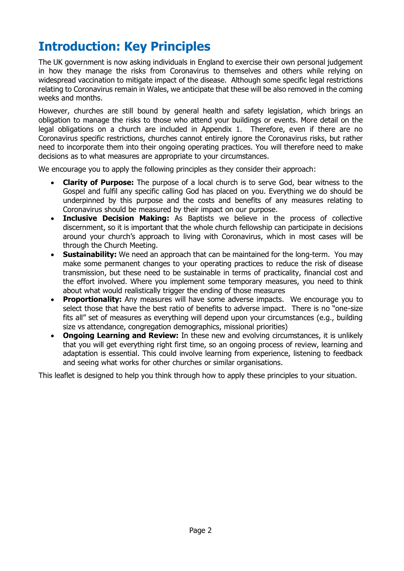# <span id="page-1-0"></span>**Introduction: Key Principles**

The UK government is now asking individuals in England to exercise their own personal judgement in how they manage the risks from Coronavirus to themselves and others while relying on widespread vaccination to mitigate impact of the disease. Although some specific legal restrictions relating to Coronavirus remain in Wales, we anticipate that these will be also removed in the coming weeks and months.

However, churches are still bound by general health and safety legislation, which brings an obligation to manage the risks to those who attend your buildings or events. More detail on the legal obligations on a church are included in Appendix 1. Therefore, even if there are no Coronavirus specific restrictions, churches cannot entirely ignore the Coronavirus risks, but rather need to incorporate them into their ongoing operating practices. You will therefore need to make decisions as to what measures are appropriate to your circumstances.

We encourage you to apply the following principles as they consider their approach:

- **Clarity of Purpose:** The purpose of a local church is to serve God, bear witness to the Gospel and fulfil any specific calling God has placed on you. Everything we do should be underpinned by this purpose and the costs and benefits of any measures relating to Coronavirus should be measured by their impact on our purpose.
- **Inclusive Decision Making:** As Baptists we believe in the process of collective discernment, so it is important that the whole church fellowship can participate in decisions around your church's approach to living with Coronavirus, which in most cases will be through the Church Meeting.
- **Sustainability:** We need an approach that can be maintained for the long-term. You may make some permanent changes to your operating practices to reduce the risk of disease transmission, but these need to be sustainable in terms of practicality, financial cost and the effort involved. Where you implement some temporary measures, you need to think about what would realistically trigger the ending of those measures
- **Proportionality:** Any measures will have some adverse impacts. We encourage you to select those that have the best ratio of benefits to adverse impact. There is no "one-size fits all" set of measures as everything will depend upon your circumstances (e.g., building size vs attendance, congregation demographics, missional priorities)
- **Ongoing Learning and Review:** In these new and evolving circumstances, it is unlikely that you will get everything right first time, so an ongoing process of review, learning and adaptation is essential. This could involve learning from experience, listening to feedback and seeing what works for other churches or similar organisations.

This leaflet is designed to help you think through how to apply these principles to your situation.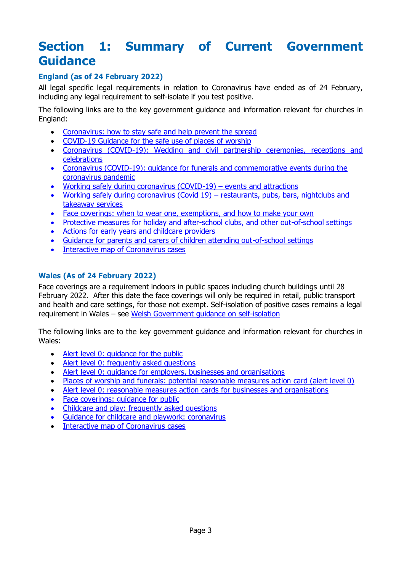### <span id="page-2-0"></span>**Section 1: Summary of Current Government Guidance**

### **England (as of 24 February 2022)**

All legal specific legal requirements in relation to Coronavirus have ended as of 24 February, including any legal requirement to self-isolate if you test positive.

The following links are to the key government guidance and information relevant for churches in England:

- [Coronavirus: how to stay safe and help prevent the spread](https://www.gov.uk/guidance/covid-19-coronavirus-restrictions-what-you-can-and-cannot-do#history)
- [COVID-19 Guidance for the safe use of places of worship](https://www.gov.uk/guidance/covid-19-guidance-for-the-safe-use-of-places-of-worship)
- [Coronavirus \(COVID-19\): Wedding and civil partnership ceremonies, receptions and](https://www.gov.uk/guidance/coronavirus-covid-19-wedding-and-civil-partnership-ceremonies-receptions-and-celebrations)  [celebrations](https://www.gov.uk/guidance/coronavirus-covid-19-wedding-and-civil-partnership-ceremonies-receptions-and-celebrations)
- [Coronavirus \(COVID-19\): guidance for funerals and commemorative events during the](https://www.gov.uk/government/publications/covid-19-guidance-for-managing-a-funeral-during-the-coronavirus-pandemic/covid-19-guidance-for-managing-a-funeral-during-the-coronavirus-pandemic)  [coronavirus pandemic](https://www.gov.uk/government/publications/covid-19-guidance-for-managing-a-funeral-during-the-coronavirus-pandemic/covid-19-guidance-for-managing-a-funeral-during-the-coronavirus-pandemic)
- [Working safely during coronavirus \(COVID-19\)](https://www.gov.uk/guidance/working-safely-during-coronavirus-covid-19/performing-arts)  events and attractions
- [Working safely during coronavirus \(Covid 19\)](https://www.gov.uk/guidance/working-safely-during-coronavirus-covid-19/restaurants-offering-takeaway-or-delivery)  restaurants, pubs, bars, nightclubs and [takeaway services](https://www.gov.uk/guidance/working-safely-during-coronavirus-covid-19/restaurants-offering-takeaway-or-delivery)
- [Face coverings: when to wear one, exemptions, and how to make your own](https://www.gov.uk/government/publications/face-coverings-when-to-wear-one-and-how-to-make-your-own/face-coverings-when-to-wear-one-and-how-to-make-your-own)
- [Protective measures for holiday and after-school clubs, and other out-of-school settings](https://www.gov.uk/government/publications/protective-measures-for-holiday-or-after-school-clubs-and-other-out-of-school-settings-for-children-during-the-coronavirus-covid-19-outbreak/protective-measures-for-out-of-school-settings-during-the-coronavirus-covid-19-outbreak)
- [Actions for early years and childcare providers](https://www.gov.uk/government/publications/coronavirus-covid-19-early-years-and-childcare-closures/actions-for-early-years-and-childcare-providers-during-the-coronavirus-covid-19-outbreak)
- [Guidance for parents and carers of children attending out-of-school settings](https://www.gov.uk/government/publications/guidance-for-parents-and-carers-of-children-attending-out-of-school-settings-during-the-coronavirus-covid-19-outbreak/guidance-for-parents-and-carers-of-children-attending-out-of-school-settings-during-the-coronavirus-covid-19-outbreak)
- [Interactive map of Coronavirus cases](https://coronavirus.data.gov.uk/details/interactive-map/cases)

#### **Wales (As of 24 February 2022)**

Face coverings are a requirement indoors in public spaces including church buildings until 28 February 2022. After this date the face coverings will only be required in retail, public transport and health and care settings, for those not exempt. Self-isolation of positive cases remains a legal requirement in Wales – see [Welsh Government guidance on self-isolation](https://gov.wales/self-isolation)

The following links are to the key government guidance and information relevant for churches in Wales:

- Alert level 0: quidance for the public
- [Alert level 0: frequently asked questions](https://gov.wales/alert-level-0-frequently-asked-questions)
- [Alert level 0: guidance for employers, businesses and organisations](https://gov.wales/alert-level-0-guidance-employers-businesses-and-organisations)
- [Places of worship and funerals: potential reasonable measures action card \(alert level 0\)](https://gov.wales/places-worship-and-funerals-potential-reasonable-measures-action-card-alert-level-0-html)
- [Alert level 0: reasonable measures action cards for businesses and organisations](https://gov.wales/alert-level-0-reasonable-measures-action-cards-businesses-and-organisations)
- [Face coverings: guidance for public](https://gov.wales/face-coverings-guidance-public)
- [Childcare and play: frequently asked questions](https://gov.wales/childcare-and-play-frequently-asked-questions)
- [Guidance for childcare and playwork: coronavirus](https://gov.wales/guidance-childcare-and-playwork-coronavirus-html)
- [Interactive map of Coronavirus cases](https://coronavirus.data.gov.uk/details/interactive-map/cases)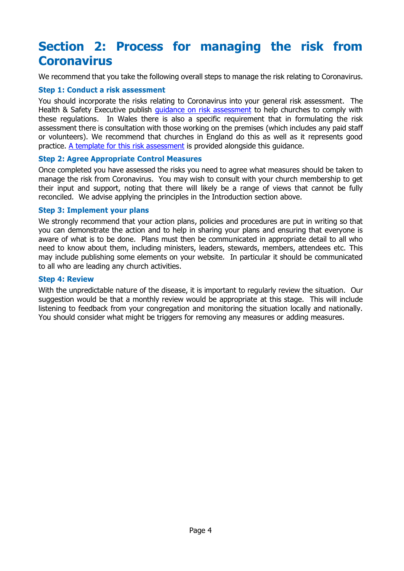### <span id="page-3-0"></span>**Section 2: Process for managing the risk from Coronavirus**

We recommend that you take the following overall steps to manage the risk relating to Coronavirus.

#### **Step 1: Conduct a risk assessment**

You should incorporate the risks relating to Coronavirus into your general risk assessment. The Health & Safety Executive publish quidance [on risk assessment](https://www.hse.gov.uk/PUBNS/indg163.pdf) to help churches to comply with these regulations. In Wales there is also a specific requirement that in formulating the risk assessment there is consultation with those working on the premises (which includes any paid staff or volunteers). We recommend that churches in England do this as well as it represents good practice. [A template for this risk assessment](https://www.baptist.org.uk/coronariskassessment) is provided alongside this guidance.

#### **Step 2: Agree Appropriate Control Measures**

Once completed you have assessed the risks you need to agree what measures should be taken to manage the risk from Coronavirus. You may wish to consult with your church membership to get their input and support, noting that there will likely be a range of views that cannot be fully reconciled. We advise applying the principles in the Introduction section above.

#### **Step 3: Implement your plans**

We strongly recommend that your action plans, policies and procedures are put in writing so that you can demonstrate the action and to help in sharing your plans and ensuring that everyone is aware of what is to be done. Plans must then be communicated in appropriate detail to all who need to know about them, including ministers, leaders, stewards, members, attendees etc. This may include publishing some elements on your website. In particular it should be communicated to all who are leading any church activities.

#### **Step 4: Review**

With the unpredictable nature of the disease, it is important to regularly review the situation. Our suggestion would be that a monthly review would be appropriate at this stage. This will include listening to feedback from your congregation and monitoring the situation locally and nationally. You should consider what might be triggers for removing any measures or adding measures.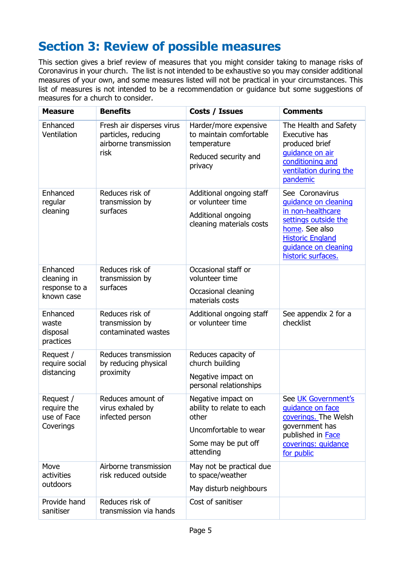# <span id="page-4-0"></span>**Section 3: Review of possible measures**

This section gives a brief review of measures that you might consider taking to manage risks of Coronavirus in your church. The list is not intended to be exhaustive so you may consider additional measures of your own, and some measures listed will not be practical in your circumstances. This list of measures is not intended to be a recommendation or guidance but some suggestions of measures for a church to consider.

| <b>Measure</b>                                         | <b>Benefits</b>                                                                   | Costs / Issues                                                                                                        | <b>Comments</b>                                                                                                                                                                 |
|--------------------------------------------------------|-----------------------------------------------------------------------------------|-----------------------------------------------------------------------------------------------------------------------|---------------------------------------------------------------------------------------------------------------------------------------------------------------------------------|
| Enhanced<br>Ventilation                                | Fresh air disperses virus<br>particles, reducing<br>airborne transmission<br>risk | Harder/more expensive<br>to maintain comfortable<br>temperature<br>Reduced security and<br>privacy                    | The Health and Safety<br>Executive has<br>produced brief<br>guidance on air<br>conditioning and<br>ventilation during the<br>pandemic                                           |
| Enhanced<br>regular<br>cleaning                        | Reduces risk of<br>transmission by<br>surfaces                                    | Additional ongoing staff<br>or volunteer time<br>Additional ongoing<br>cleaning materials costs                       | See Coronavirus<br>quidance on cleaning<br>in non-healthcare<br>settings outside the<br>home. See also<br><b>Historic England</b><br>quidance on cleaning<br>historic surfaces. |
| Enhanced<br>cleaning in<br>response to a<br>known case | Reduces risk of<br>transmission by<br>surfaces                                    | Occasional staff or<br>volunteer time<br>Occasional cleaning<br>materials costs                                       |                                                                                                                                                                                 |
| Enhanced<br>waste<br>disposal<br>practices             | Reduces risk of<br>transmission by<br>contaminated wastes                         | Additional ongoing staff<br>or volunteer time                                                                         | See appendix 2 for a<br>checklist                                                                                                                                               |
| Request /<br>require social<br>distancing              | Reduces transmission<br>by reducing physical<br>proximity                         | Reduces capacity of<br>church building<br>Negative impact on<br>personal relationships                                |                                                                                                                                                                                 |
| Request /<br>require the<br>use of Face<br>Coverings   | Reduces amount of<br>virus exhaled by<br>infected person                          | Negative impact on<br>ability to relate to each<br>other<br>Uncomfortable to wear<br>Some may be put off<br>attending | See UK Government's<br>quidance on face<br>coverings. The Welsh<br>government has<br>published in Face<br>coverings: quidance<br>for public                                     |
| Move<br>activities<br>outdoors                         | Airborne transmission<br>risk reduced outside                                     | May not be practical due<br>to space/weather<br>May disturb neighbours                                                |                                                                                                                                                                                 |
| Provide hand<br>sanitiser                              | Reduces risk of<br>transmission via hands                                         | Cost of sanitiser                                                                                                     |                                                                                                                                                                                 |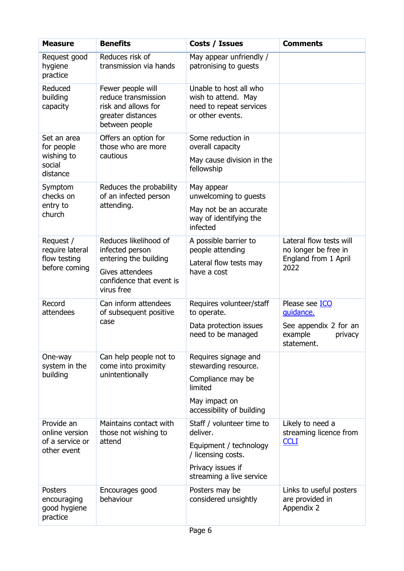| <b>Measure</b>                                                 | <b>Benefits</b>                                                                                                                | Costs / Issues                                                                                                                         | <b>Comments</b>                                                                          |
|----------------------------------------------------------------|--------------------------------------------------------------------------------------------------------------------------------|----------------------------------------------------------------------------------------------------------------------------------------|------------------------------------------------------------------------------------------|
| Request good<br>hygiene<br>practice                            | Reduces risk of<br>transmission via hands                                                                                      | May appear unfriendly /<br>patronising to guests                                                                                       |                                                                                          |
| Reduced<br>building<br>capacity                                | Fewer people will<br>reduce transmission<br>risk and allows for<br>greater distances<br>between people                         | Unable to host all who<br>wish to attend. May<br>need to repeat services<br>or other events.                                           |                                                                                          |
| Set an area<br>for people<br>wishing to<br>social<br>distance  | Offers an option for<br>those who are more<br>cautious                                                                         | Some reduction in<br>overall capacity<br>May cause division in the<br>fellowship                                                       |                                                                                          |
| Symptom<br>checks on<br>entry to<br>church                     | Reduces the probability<br>of an infected person<br>attending.                                                                 | May appear<br>unwelcoming to guests<br>May not be an accurate<br>way of identifying the<br>infected                                    |                                                                                          |
| Request /<br>require lateral<br>flow testing<br>before coming  | Reduces likelihood of<br>infected person<br>entering the building<br>Gives attendees<br>confidence that event is<br>virus free | A possible barrier to<br>people attending<br>Lateral flow tests may<br>have a cost                                                     | Lateral flow tests will<br>no longer be free in<br>England from 1 April<br>2022          |
| Record<br>attendees                                            | Can inform attendees<br>of subsequent positive<br>case                                                                         | Requires volunteer/staff<br>to operate.<br>Data protection issues<br>need to be managed                                                | Please see ICO<br>guidance.<br>See appendix 2 for an<br>example<br>privacy<br>statement. |
| One-way<br>system in the<br>building                           | Can help people not to<br>come into proximity<br>unintentionally                                                               | Requires signage and<br>stewarding resource.<br>Compliance may be<br>limited<br>May impact on<br>accessibility of building             |                                                                                          |
| Provide an<br>online version<br>of a service or<br>other event | Maintains contact with<br>those not wishing to<br>attend                                                                       | Staff / volunteer time to<br>deliver.<br>Equipment / technology<br>/ licensing costs.<br>Privacy issues if<br>streaming a live service | Likely to need a<br>streaming licence from<br><b>CCLI</b>                                |
| <b>Posters</b><br>encouraging<br>good hygiene<br>practice      | Encourages good<br>behaviour                                                                                                   | Posters may be<br>considered unsightly                                                                                                 | Links to useful posters<br>are provided in<br>Appendix 2                                 |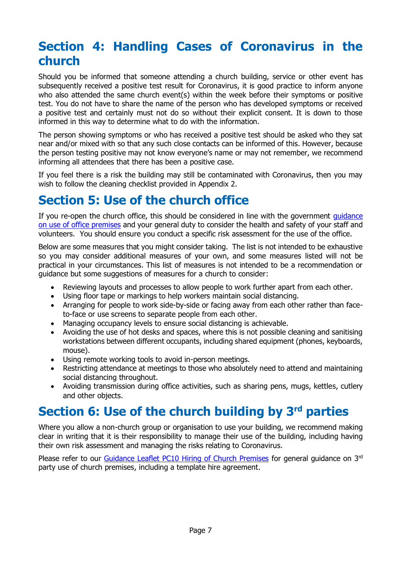### <span id="page-6-0"></span>**Section 4: Handling Cases of Coronavirus in the church**

Should you be informed that someone attending a church building, service or other event has subsequently received a positive test result for Coronavirus, it is good practice to inform anyone who also attended the same church event(s) within the week before their symptoms or positive test. You do not have to share the name of the person who has developed symptoms or received a positive test and certainly must not do so without their explicit consent. It is down to those informed in this way to determine what to do with the information.

The person showing symptoms or who has received a positive test should be asked who they sat near and/or mixed with so that any such close contacts can be informed of this. However, because the person testing positive may not know everyone's name or may not remember, we recommend informing all attendees that there has been a positive case.

If you feel there is a risk the building may still be contaminated with Coronavirus, then you may wish to follow the cleaning checklist provided in Appendix 2.

### <span id="page-6-1"></span>**Section 5: Use of the church office**

If you re-open the church office, this should be considered in line with the government quidance [on use of office premises](https://www.gov.uk/guidance/working-safely-during-coronavirus-covid-19/offices-and-contact-centres) and your general duty to consider the health and safety of your staff and volunteers. You should ensure you conduct a specific risk assessment for the use of the office.

Below are some measures that you might consider taking. The list is not intended to be exhaustive so you may consider additional measures of your own, and some measures listed will not be practical in your circumstances. This list of measures is not intended to be a recommendation or guidance but some suggestions of measures for a church to consider:

- Reviewing layouts and processes to allow people to work further apart from each other.
- Using floor tape or markings to help workers maintain social distancing.
- Arranging for people to work side-by-side or facing away from each other rather than faceto-face or use screens to separate people from each other.
- Managing occupancy levels to ensure social distancing is achievable.
- Avoiding the use of hot desks and spaces, where this is not possible cleaning and sanitising workstations between different occupants, including shared equipment (phones, keyboards, mouse).
- Using remote working tools to avoid in-person meetings.
- Restricting attendance at meetings to those who absolutely need to attend and maintaining social distancing throughout.
- Avoiding transmission during office activities, such as sharing pens, mugs, kettles, cutlery and other objects.

### <span id="page-6-2"></span>**Section 6: Use of the church building by 3rd parties**

Where you allow a non-church group or organisation to use your building, we recommend making clear in writing that it is their responsibility to manage their use of the building, including having their own risk assessment and managing the risks relating to Coronavirus.

Please refer to our Guidance Leaflet PC10 [Hiring of Church Premises](https://www.baptist.org.uk/resources/PC10) for general guidance on  $3<sup>rd</sup>$ party use of church premises, including a template hire agreement.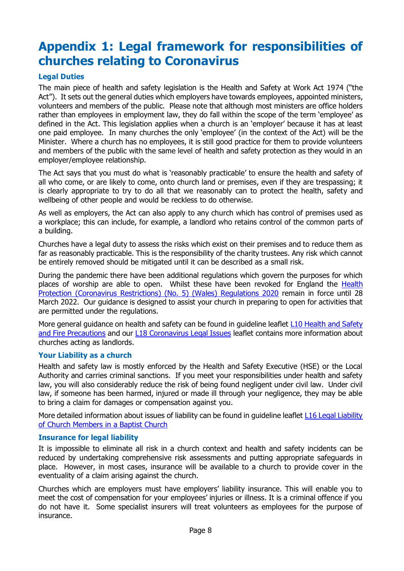# <span id="page-7-0"></span>**Appendix 1: Legal framework for responsibilities of churches relating to Coronavirus**

#### **Legal Duties**

The main piece of health and safety legislation is the Health and Safety at Work Act 1974 ("the Act"). It sets out the general duties which employers have towards employees, appointed ministers, volunteers and members of the public. Please note that although most ministers are office holders rather than employees in employment law, they do fall within the scope of the term 'employee' as defined in the Act. This legislation applies when a church is an 'employer' because it has at least one paid employee. In many churches the only 'employee' (in the context of the Act) will be the Minister. Where a church has no employees, it is still good practice for them to provide volunteers and members of the public with the same level of health and safety protection as they would in an employer/employee relationship.

The Act says that you must do what is 'reasonably practicable' to ensure the health and safety of all who come, or are likely to come, onto church land or premises, even if they are trespassing; it is clearly appropriate to try to do all that we reasonably can to protect the health, safety and wellbeing of other people and would be reckless to do otherwise.

As well as employers, the Act can also apply to any church which has control of premises used as a workplace; this can include, for example, a landlord who retains control of the common parts of a building.

Churches have a legal duty to assess the risks which exist on their premises and to reduce them as far as reasonably practicable. This is the responsibility of the charity trustees. Any risk which cannot be entirely removed should be mitigated until it can be described as a small risk.

During the pandemic there have been additional regulations which govern the purposes for which places of worship are able to open. Whilst these have been revoked for England the Health [Protection \(Coronavirus Restrictions\) \(No. 5\) \(Wales\) Regulations 2020](https://gov.wales/sites/default/files/publications/2022-01/the-health-protection-coronavirus-restrictions-no.-5--wales-regulations-2020-as-amended-1-1-22.pdf) remain in force until 28 March 2022. Our guidance is designed to assist your church in preparing to open for activities that are permitted under the regulations.

More general guidance on health and safety can be found in guideline leaflet L10 Health and Safety [and Fire Precautions](https://www.baptist.org.uk/Articles/368692/Guideline_Leaflet_L10.aspx) and our [L18 Coronavirus Legal Issues](http://www.baptist.org.uk/resources/L18) leaflet contains more information about churches acting as landlords.

#### **Your Liability as a church**

Health and safety law is mostly enforced by the Health and Safety Executive (HSE) or the Local Authority and carries criminal sanctions. If you meet your responsibilities under health and safety law, you will also considerably reduce the risk of being found negligent under civil law. Under civil law, if someone has been harmed, injured or made ill through your negligence, they may be able to bring a claim for damages or compensation against you.

More detailed information about issues of liability can be found in quideline leaflet L16 Legal Liability [of Church Members in a Baptist Church](https://www.baptist.org.uk/Articles/459184/Guideline_Leaflet_L16.aspx)

#### **Insurance for legal liability**

It is impossible to eliminate all risk in a church context and health and safety incidents can be reduced by undertaking comprehensive risk assessments and putting appropriate safeguards in place. However, in most cases, insurance will be available to a church to provide cover in the eventuality of a claim arising against the church.

Churches which are employers must have employers' liability insurance. This will enable you to meet the cost of compensation for your employees' injuries or illness. It is a criminal offence if you do not have it. Some specialist insurers will treat volunteers as employees for the purpose of insurance.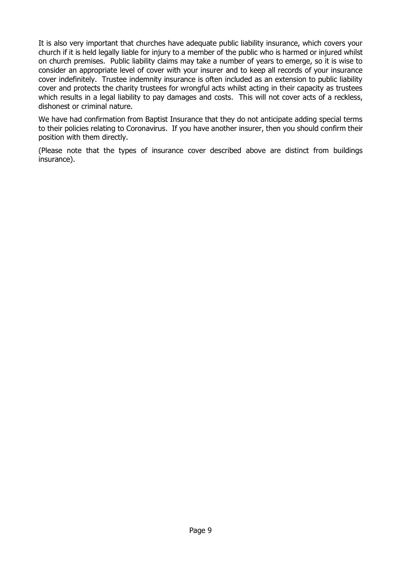It is also very important that churches have adequate public liability insurance, which covers your church if it is held legally liable for injury to a member of the public who is harmed or injured whilst on church premises. Public liability claims may take a number of years to emerge, so it is wise to consider an appropriate level of cover with your insurer and to keep all records of your insurance cover indefinitely. Trustee indemnity insurance is often included as an extension to public liability cover and protects the charity trustees for wrongful acts whilst acting in their capacity as trustees which results in a legal liability to pay damages and costs. This will not cover acts of a reckless, dishonest or criminal nature.

We have had confirmation from Baptist Insurance that they do not anticipate adding special terms to their policies relating to Coronavirus. If you have another insurer, then you should confirm their position with them directly.

(Please note that the types of insurance cover described above are distinct from buildings insurance).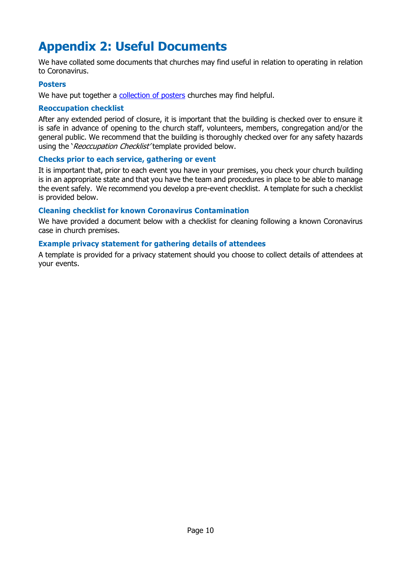# <span id="page-9-0"></span>**Appendix 2: Useful Documents**

We have collated some documents that churches may find useful in relation to operating in relation to Coronavirus.

#### **Posters**

We have put together a [collection of posters](https://www.baptist.org.uk/coronaposters) churches may find helpful.

#### **Reoccupation checklist**

After any extended period of closure, it is important that the building is checked over to ensure it is safe in advance of opening to the church staff, volunteers, members, congregation and/or the general public. We recommend that the building is thoroughly checked over for any safety hazards using the 'Reoccupation Checklist' template provided below.

#### **Checks prior to each service, gathering or event**

It is important that, prior to each event you have in your premises, you check your church building is in an appropriate state and that you have the team and procedures in place to be able to manage the event safely. We recommend you develop a pre-event checklist. A template for such a checklist is provided below.

#### **Cleaning checklist for known Coronavirus Contamination**

We have provided a document below with a checklist for cleaning following a known Coronavirus case in church premises.

#### **Example privacy statement for gathering details of attendees**

A template is provided for a privacy statement should you choose to collect details of attendees at your events.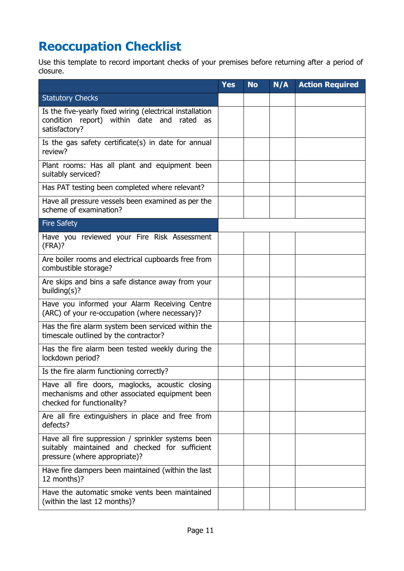# <span id="page-10-0"></span>**Reoccupation Checklist**

Use this template to record important checks of your premises before returning after a period of closure.

|                                                                                                                                       | <b>Yes</b> | <b>No</b> | N/A | <b>Action Required</b> |
|---------------------------------------------------------------------------------------------------------------------------------------|------------|-----------|-----|------------------------|
| <b>Statutory Checks</b>                                                                                                               |            |           |     |                        |
| Is the five-yearly fixed wiring (electrical installation<br>condition report) within date and<br>rated<br>as<br>satisfactory?         |            |           |     |                        |
| Is the gas safety certificate(s) in date for annual<br>review?                                                                        |            |           |     |                        |
| Plant rooms: Has all plant and equipment been<br>suitably serviced?                                                                   |            |           |     |                        |
| Has PAT testing been completed where relevant?                                                                                        |            |           |     |                        |
| Have all pressure vessels been examined as per the<br>scheme of examination?                                                          |            |           |     |                        |
| <b>Fire Safety</b>                                                                                                                    |            |           |     |                        |
| Have you reviewed your Fire Risk Assessment<br>(FRA)?                                                                                 |            |           |     |                        |
| Are boiler rooms and electrical cupboards free from<br>combustible storage?                                                           |            |           |     |                        |
| Are skips and bins a safe distance away from your<br>building(s)?                                                                     |            |           |     |                        |
| Have you informed your Alarm Receiving Centre<br>(ARC) of your re-occupation (where necessary)?                                       |            |           |     |                        |
| Has the fire alarm system been serviced within the<br>timescale outlined by the contractor?                                           |            |           |     |                        |
| Has the fire alarm been tested weekly during the<br>lockdown period?                                                                  |            |           |     |                        |
| Is the fire alarm functioning correctly?                                                                                              |            |           |     |                        |
| Have all fire doors, maglocks, acoustic closing<br>mechanisms and other associated equipment been<br>checked for functionality?       |            |           |     |                        |
| Are all fire extinguishers in place and free from<br>defects?                                                                         |            |           |     |                        |
| Have all fire suppression / sprinkler systems been<br>suitably maintained and checked for sufficient<br>pressure (where appropriate)? |            |           |     |                        |
| Have fire dampers been maintained (within the last<br>12 months)?                                                                     |            |           |     |                        |
| Have the automatic smoke vents been maintained<br>(within the last 12 months)?                                                        |            |           |     |                        |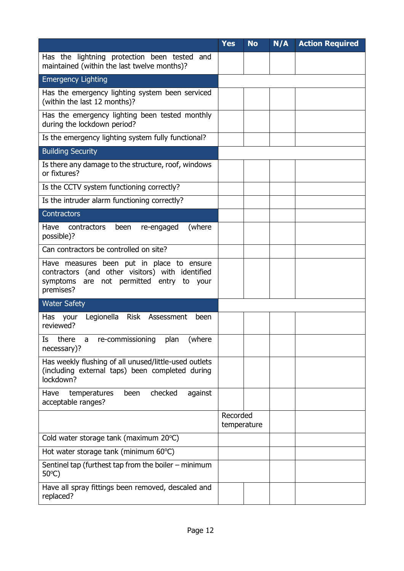|                                                                                                                                                        | <b>Yes</b>              | <b>No</b> | N/A | <b>Action Required</b> |
|--------------------------------------------------------------------------------------------------------------------------------------------------------|-------------------------|-----------|-----|------------------------|
| Has the lightning protection been tested and<br>maintained (within the last twelve months)?                                                            |                         |           |     |                        |
| <b>Emergency Lighting</b>                                                                                                                              |                         |           |     |                        |
| Has the emergency lighting system been serviced<br>(within the last 12 months)?                                                                        |                         |           |     |                        |
| Has the emergency lighting been tested monthly<br>during the lockdown period?                                                                          |                         |           |     |                        |
| Is the emergency lighting system fully functional?                                                                                                     |                         |           |     |                        |
| <b>Building Security</b>                                                                                                                               |                         |           |     |                        |
| Is there any damage to the structure, roof, windows<br>or fixtures?                                                                                    |                         |           |     |                        |
| Is the CCTV system functioning correctly?                                                                                                              |                         |           |     |                        |
| Is the intruder alarm functioning correctly?                                                                                                           |                         |           |     |                        |
| <b>Contractors</b>                                                                                                                                     |                         |           |     |                        |
| Have<br>(where<br>contractors<br>been<br>re-engaged<br>possible)?                                                                                      |                         |           |     |                        |
| Can contractors be controlled on site?                                                                                                                 |                         |           |     |                        |
| Have measures been put in place to ensure<br>contractors (and other visitors) with identified<br>symptoms are not permitted entry to your<br>premises? |                         |           |     |                        |
| <b>Water Safety</b>                                                                                                                                    |                         |           |     |                        |
| Legionella<br>Risk Assessment<br>Has<br>your<br>been<br>reviewed?                                                                                      |                         |           |     |                        |
| (where<br>Is<br>re-commissioning<br>there<br>plan<br>a<br>necessary)?                                                                                  |                         |           |     |                        |
| Has weekly flushing of all unused/little-used outlets<br>(including external taps) been completed during<br>lockdown?                                  |                         |           |     |                        |
| checked<br>against<br>Have<br>temperatures<br>been<br>acceptable ranges?                                                                               |                         |           |     |                        |
|                                                                                                                                                        | Recorded<br>temperature |           |     |                        |
| Cold water storage tank (maximum 20°C)                                                                                                                 |                         |           |     |                        |
| Hot water storage tank (minimum 60°C)                                                                                                                  |                         |           |     |                        |
| Sentinel tap (furthest tap from the boiler $-$ minimum<br>$50^{\circ}$ C)                                                                              |                         |           |     |                        |
| Have all spray fittings been removed, descaled and<br>replaced?                                                                                        |                         |           |     |                        |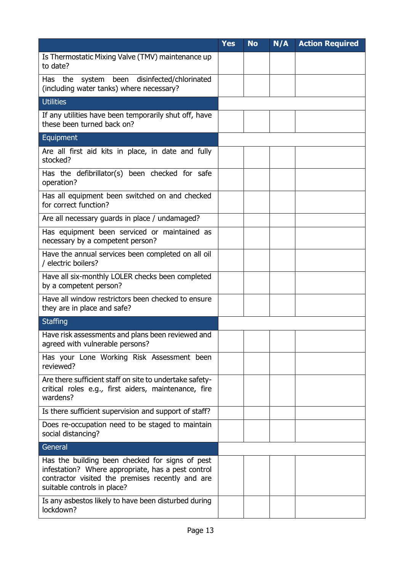|                                                                                                                                                                                          | <b>Yes</b> | <b>No</b> | N/A | <b>Action Required</b> |
|------------------------------------------------------------------------------------------------------------------------------------------------------------------------------------------|------------|-----------|-----|------------------------|
| Is Thermostatic Mixing Valve (TMV) maintenance up<br>to date?                                                                                                                            |            |           |     |                        |
| system been<br>Has the<br>disinfected/chlorinated<br>(including water tanks) where necessary?                                                                                            |            |           |     |                        |
| <b>Utilities</b>                                                                                                                                                                         |            |           |     |                        |
| If any utilities have been temporarily shut off, have<br>these been turned back on?                                                                                                      |            |           |     |                        |
| Equipment                                                                                                                                                                                |            |           |     |                        |
| Are all first aid kits in place, in date and fully<br>stocked?                                                                                                                           |            |           |     |                        |
| Has the defibrillator(s) been checked for safe<br>operation?                                                                                                                             |            |           |     |                        |
| Has all equipment been switched on and checked<br>for correct function?                                                                                                                  |            |           |     |                        |
| Are all necessary guards in place / undamaged?                                                                                                                                           |            |           |     |                        |
| Has equipment been serviced or maintained as<br>necessary by a competent person?                                                                                                         |            |           |     |                        |
| Have the annual services been completed on all oil<br>/ electric boilers?                                                                                                                |            |           |     |                        |
| Have all six-monthly LOLER checks been completed<br>by a competent person?                                                                                                               |            |           |     |                        |
| Have all window restrictors been checked to ensure<br>they are in place and safe?                                                                                                        |            |           |     |                        |
| <b>Staffing</b>                                                                                                                                                                          |            |           |     |                        |
| Have risk assessments and plans been reviewed and<br>agreed with vulnerable persons?                                                                                                     |            |           |     |                        |
| Has your Lone Working Risk Assessment been<br>reviewed?                                                                                                                                  |            |           |     |                        |
| Are there sufficient staff on site to undertake safety-<br>critical roles e.g., first aiders, maintenance, fire<br>wardens?                                                              |            |           |     |                        |
| Is there sufficient supervision and support of staff?                                                                                                                                    |            |           |     |                        |
| Does re-occupation need to be staged to maintain<br>social distancing?                                                                                                                   |            |           |     |                        |
| General                                                                                                                                                                                  |            |           |     |                        |
| Has the building been checked for signs of pest<br>infestation? Where appropriate, has a pest control<br>contractor visited the premises recently and are<br>suitable controls in place? |            |           |     |                        |
| Is any asbestos likely to have been disturbed during<br>lockdown?                                                                                                                        |            |           |     |                        |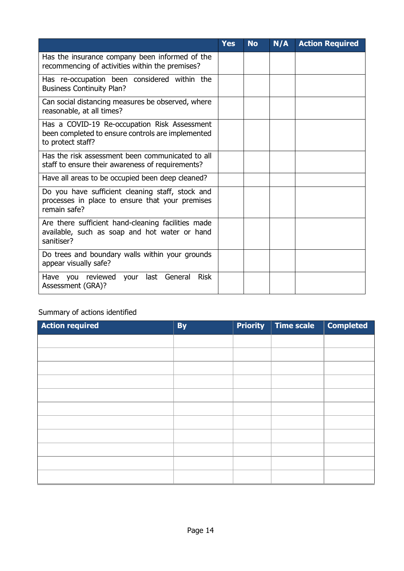|                                                                                                                        | <b>Yes</b> | <b>No</b> | N/A | <b>Action Required</b> |
|------------------------------------------------------------------------------------------------------------------------|------------|-----------|-----|------------------------|
| Has the insurance company been informed of the<br>recommencing of activities within the premises?                      |            |           |     |                        |
| Has re-occupation been considered within the<br><b>Business Continuity Plan?</b>                                       |            |           |     |                        |
| Can social distancing measures be observed, where<br>reasonable, at all times?                                         |            |           |     |                        |
| Has a COVID-19 Re-occupation Risk Assessment<br>been completed to ensure controls are implemented<br>to protect staff? |            |           |     |                        |
| Has the risk assessment been communicated to all<br>staff to ensure their awareness of requirements?                   |            |           |     |                        |
| Have all areas to be occupied been deep cleaned?                                                                       |            |           |     |                        |
| Do you have sufficient cleaning staff, stock and<br>processes in place to ensure that your premises<br>remain safe?    |            |           |     |                        |
| Are there sufficient hand-cleaning facilities made<br>available, such as soap and hot water or hand<br>sanitiser?      |            |           |     |                        |
| Do trees and boundary walls within your grounds<br>appear visually safe?                                               |            |           |     |                        |
| last General<br><b>Risk</b><br>reviewed<br>Have you<br>your<br>Assessment (GRA)?                                       |            |           |     |                        |

### Summary of actions identified

| <b>Action required</b> | <b>By</b> | <b>Priority</b> | Time scale | <b>Completed</b> |
|------------------------|-----------|-----------------|------------|------------------|
|                        |           |                 |            |                  |
|                        |           |                 |            |                  |
|                        |           |                 |            |                  |
|                        |           |                 |            |                  |
|                        |           |                 |            |                  |
|                        |           |                 |            |                  |
|                        |           |                 |            |                  |
|                        |           |                 |            |                  |
|                        |           |                 |            |                  |
|                        |           |                 |            |                  |
|                        |           |                 |            |                  |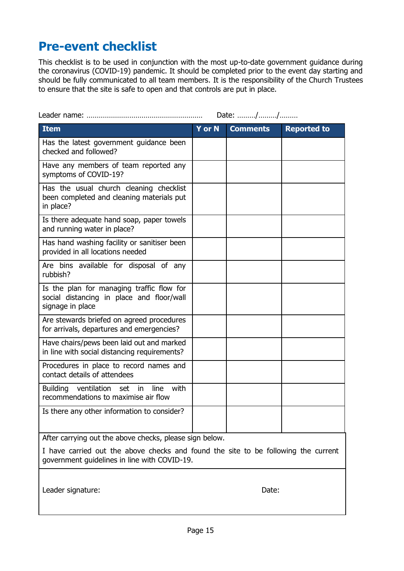### <span id="page-14-0"></span>**Pre-event checklist**

This checklist is to be used in conjunction with the most up-to-date government guidance during the coronavirus (COVID-19) pandemic. It should be completed prior to the event day starting and should be fully communicated to all team members. It is the responsibility of the Church Trustees to ensure that the site is safe to open and that controls are put in place.

|                                                                                                            |               | Date: //        |                    |
|------------------------------------------------------------------------------------------------------------|---------------|-----------------|--------------------|
| <b>Item</b>                                                                                                | <b>Y</b> or N | <b>Comments</b> | <b>Reported to</b> |
| Has the latest government guidance been<br>checked and followed?                                           |               |                 |                    |
| Have any members of team reported any<br>symptoms of COVID-19?                                             |               |                 |                    |
| Has the usual church cleaning checklist<br>been completed and cleaning materials put<br>in place?          |               |                 |                    |
| Is there adequate hand soap, paper towels<br>and running water in place?                                   |               |                 |                    |
| Has hand washing facility or sanitiser been<br>provided in all locations needed                            |               |                 |                    |
| Are bins available for disposal of any<br>rubbish?                                                         |               |                 |                    |
| Is the plan for managing traffic flow for<br>social distancing in place and floor/wall<br>signage in place |               |                 |                    |
| Are stewards briefed on agreed procedures<br>for arrivals, departures and emergencies?                     |               |                 |                    |
| Have chairs/pews been laid out and marked<br>in line with social distancing requirements?                  |               |                 |                    |
| Procedures in place to record names and<br>contact details of attendees                                    |               |                 |                    |
| with<br>Building ventilation<br>set in<br>line<br>recommendations to maximise air flow                     |               |                 |                    |
| Is there any other information to consider?                                                                |               |                 |                    |
| After carrying out the above checks, please sign below.                                                    |               |                 |                    |
| I have carried out the above checks and found the site to be following the current                         |               |                 |                    |

Tound the site to be follo government guidelines in line with COVID-19.

Leader signature: Date: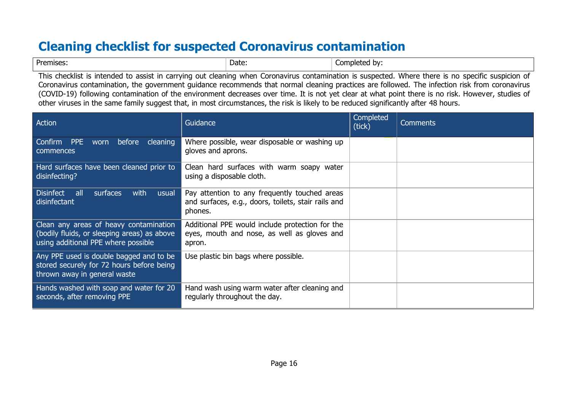# **Cleaning checklist for suspected Coronavirus contamination**

| Premises | Date: | ำmr.<br>. by: |
|----------|-------|---------------|
|----------|-------|---------------|

This checklist is intended to assist in carrying out cleaning when Coronavirus contamination is suspected. Where there is no specific suspicion of Coronavirus contamination, the government guidance recommends that normal cleaning practices are followed. The infection risk from coronavirus (COVID-19) following contamination of the environment decreases over time. It is not yet clear at what point there is no risk. However, studies of other viruses in the same family suggest that, in most circumstances, the risk is likely to be reduced significantly after 48 hours.

<span id="page-15-0"></span>

| Action                                                                                                                       | Guidance                                                                                                        | Completed<br>(tick) | <b>Comments</b> |
|------------------------------------------------------------------------------------------------------------------------------|-----------------------------------------------------------------------------------------------------------------|---------------------|-----------------|
| Confirm PPE<br>worn before<br>cleaning<br>commences                                                                          | Where possible, wear disposable or washing up<br>gloves and aprons.                                             |                     |                 |
| Hard surfaces have been cleaned prior to<br>disinfecting?                                                                    | Clean hard surfaces with warm soapy water<br>using a disposable cloth.                                          |                     |                 |
| <b>Disinfect</b><br>surfaces<br>all all<br>with<br>usual<br>disinfectant                                                     | Pay attention to any frequently touched areas<br>and surfaces, e.g., doors, toilets, stair rails and<br>phones. |                     |                 |
| Clean any areas of heavy contamination<br>(bodily fluids, or sleeping areas) as above<br>using additional PPE where possible | Additional PPE would include protection for the<br>eyes, mouth and nose, as well as gloves and<br>apron.        |                     |                 |
| Any PPE used is double bagged and to be<br>stored securely for 72 hours before being<br>thrown away in general waste         | Use plastic bin bags where possible.                                                                            |                     |                 |
| Hands washed with soap and water for 20<br>seconds, after removing PPE                                                       | Hand wash using warm water after cleaning and<br>regularly throughout the day.                                  |                     |                 |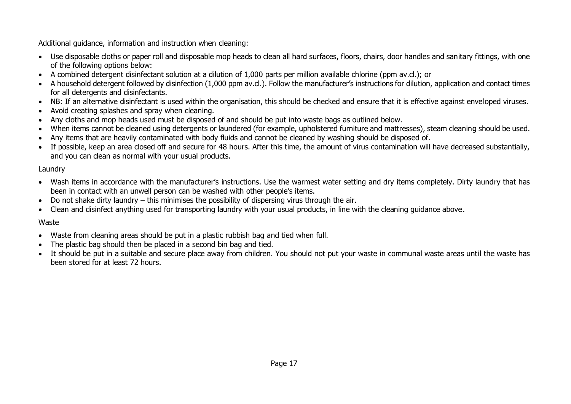Additional guidance, information and instruction when cleaning:

- Use disposable cloths or paper roll and disposable mop heads to clean all hard surfaces, floors, chairs, door handles and sanitary fittings, with one of the following options below:
- A combined detergent disinfectant solution at a dilution of 1,000 parts per million available chlorine (ppm av.cl.); or
- A household detergent followed by disinfection (1,000 ppm av.cl.). Follow the manufacturer's instructions for dilution, application and contact times for all detergents and disinfectants.
- NB: If an alternative disinfectant is used within the organisation, this should be checked and ensure that it is effective against enveloped viruses.
- Avoid creating splashes and spray when cleaning.
- Any cloths and mop heads used must be disposed of and should be put into waste bags as outlined below.
- When items cannot be cleaned using detergents or laundered (for example, upholstered furniture and mattresses), steam cleaning should be used.
- Any items that are heavily contaminated with body fluids and cannot be cleaned by washing should be disposed of.
- If possible, keep an area closed off and secure for 48 hours. After this time, the amount of virus contamination will have decreased substantially, and you can clean as normal with your usual products.

### Laundry

- Wash items in accordance with the manufacturer's instructions. Use the warmest water setting and dry items completely. Dirty laundry that has been in contact with an unwell person can be washed with other people's items.
- Do not shake dirty laundry this minimises the possibility of dispersing virus through the air.
- Clean and disinfect anything used for transporting laundry with your usual products, in line with the cleaning guidance above.

### Waste

- Waste from cleaning areas should be put in a plastic rubbish bag and tied when full.
- The plastic bag should then be placed in a second bin bag and tied.
- It should be put in a suitable and secure place away from children. You should not put your waste in communal waste areas until the waste has been stored for at least 72 hours.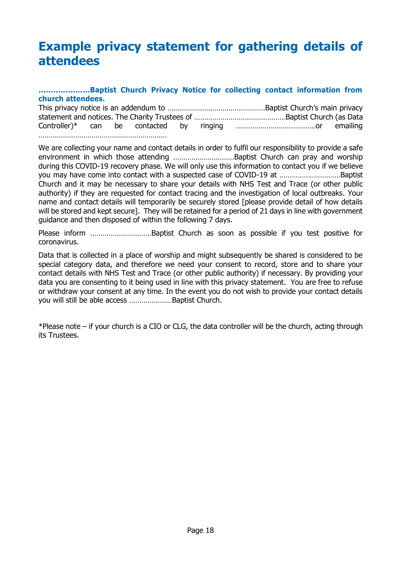### <span id="page-17-0"></span>**Example privacy statement for gathering details of attendees**

#### **…………………Baptist Church Privacy Notice for collecting contact information from church attendees.**

This privacy notice is an addendum to …………………………………………Baptist Church's main privacy statement and notices. The Charity Trustees of ………………………………………Baptist Church (as Data Controller)\* can be contacted by ringing …………………………………or emailing ………………………………………………………

We are collecting your name and contact details in order to fulfil our responsibility to provide a safe environment in which those attending …………………………Baptist Church can pray and worship during this COVID-19 recovery phase. We will only use this information to contact you if we believe you may have come into contact with a suspected case of COVID-19 at …………………………Baptist Church and it may be necessary to share your details with NHS Test and Trace (or other public authority) if they are requested for contact tracing and the investigation of local outbreaks. Your name and contact details will temporarily be securely stored [please provide detail of how details will be stored and kept secure]. They will be retained for a period of 21 days in line with government guidance and then disposed of within the following 7 days.

Please inform …………………………Baptist Church as soon as possible if you test positive for coronavirus.

Data that is collected in a place of worship and might subsequently be shared is considered to be special category data, and therefore we need your consent to record, store and to share your contact details with NHS Test and Trace (or other public authority) if necessary. By providing your data you are consenting to it being used in line with this privacy statement. You are free to refuse or withdraw your consent at any time. In the event you do not wish to provide your contact details you will still be able access …………………Baptist Church.

\*Please note – if your church is a CIO or CLG, the data controller will be the church, acting through its Trustees.